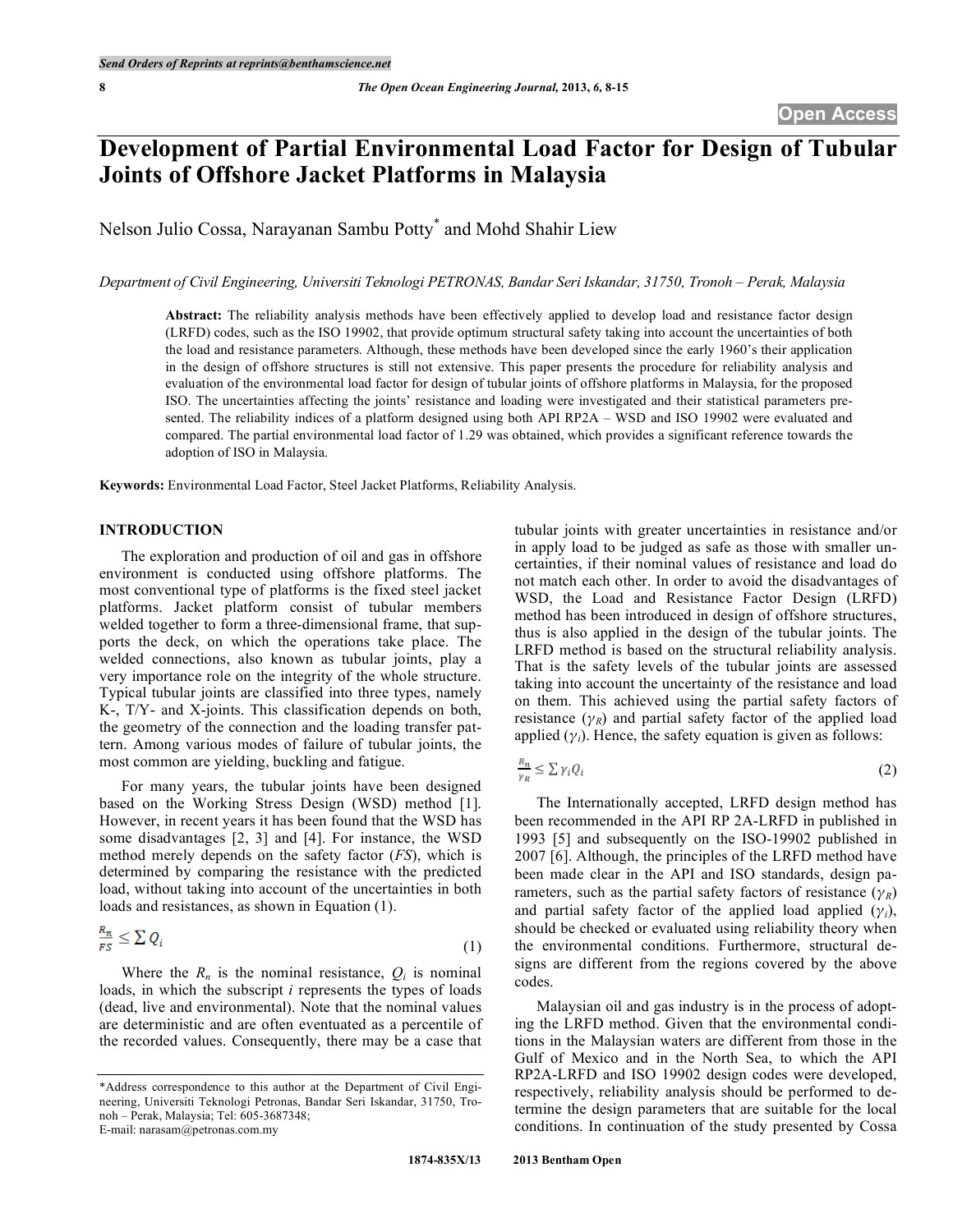# **Development of Partial Environmental Load Factor for Design of Tubular Joints of Offshore Jacket Platforms in Malaysia**

Nelson Julio Cossa, Narayanan Sambu Potty\* and Mohd Shahir Liew

*Department of Civil Engineering, Universiti Teknologi PETRONAS, Bandar Seri Iskandar, 31750, Tronoh – Perak, Malaysia*

**Abstract:** The reliability analysis methods have been effectively applied to develop load and resistance factor design (LRFD) codes, such as the ISO 19902, that provide optimum structural safety taking into account the uncertainties of both the load and resistance parameters. Although, these methods have been developed since the early 1960's their application in the design of offshore structures is still not extensive. This paper presents the procedure for reliability analysis and evaluation of the environmental load factor for design of tubular joints of offshore platforms in Malaysia, for the proposed ISO. The uncertainties affecting the joints' resistance and loading were investigated and their statistical parameters presented. The reliability indices of a platform designed using both API RP2A – WSD and ISO 19902 were evaluated and compared. The partial environmental load factor of 1.29 was obtained, which provides a significant reference towards the adoption of ISO in Malaysia.

**Keywords:** Environmental Load Factor, Steel Jacket Platforms, Reliability Analysis.

# **INTRODUCTION**

The exploration and production of oil and gas in offshore environment is conducted using offshore platforms. The most conventional type of platforms is the fixed steel jacket platforms. Jacket platform consist of tubular members welded together to form a three-dimensional frame, that supports the deck, on which the operations take place. The welded connections, also known as tubular joints, play a very importance role on the integrity of the whole structure. Typical tubular joints are classified into three types, namely K-, T/Y- and X-joints. This classification depends on both, the geometry of the connection and the loading transfer pattern. Among various modes of failure of tubular joints, the most common are yielding, buckling and fatigue.

For many years, the tubular joints have been designed based on the Working Stress Design (WSD) method [1]. However, in recent years it has been found that the WSD has some disadvantages [2, 3] and [4]. For instance, the WSD method merely depends on the safety factor (*FS*), which is determined by comparing the resistance with the predicted load, without taking into account of the uncertainties in both loads and resistances, as shown in Equation (1).

$$
\frac{\kappa_n}{FS} \leq \sum Q_i \tag{1}
$$

Where the  $R_n$  is the nominal resistance,  $Q_i$  is nominal loads, in which the subscript *i* represents the types of loads (dead, live and environmental). Note that the nominal values are deterministic and are often eventuated as a percentile of the recorded values. Consequently, there may be a case that

E-mail: narasam@petronas.com.my

tubular joints with greater uncertainties in resistance and/or in apply load to be judged as safe as those with smaller uncertainties, if their nominal values of resistance and load do not match each other. In order to avoid the disadvantages of WSD, the Load and Resistance Factor Design (LRFD) method has been introduced in design of offshore structures, thus is also applied in the design of the tubular joints. The LRFD method is based on the structural reliability analysis. That is the safety levels of the tubular joints are assessed taking into account the uncertainty of the resistance and load on them. This achieved using the partial safety factors of resistance  $(\gamma_R)$  and partial safety factor of the applied load applied  $(\gamma_i)$ . Hence, the safety equation is given as follows:

$$
\frac{R_n}{\gamma_R} \le \sum \gamma_i Q_i \tag{2}
$$

The Internationally accepted, LRFD design method has been recommended in the API RP 2A-LRFD in published in 1993 [5] and subsequently on the ISO-19902 published in 2007 [6]. Although, the principles of the LRFD method have been made clear in the API and ISO standards, design parameters, such as the partial safety factors of resistance  $(\gamma_R)$ and partial safety factor of the applied load applied  $(\gamma_i)$ , should be checked or evaluated using reliability theory when the environmental conditions. Furthermore, structural designs are different from the regions covered by the above codes.

Malaysian oil and gas industry is in the process of adopting the LRFD method. Given that the environmental conditions in the Malaysian waters are different from those in the Gulf of Mexico and in the North Sea, to which the API RP2A-LRFD and ISO 19902 design codes were developed, respectively, reliability analysis should be performed to determine the design parameters that are suitable for the local conditions. In continuation of the study presented by Cossa

<sup>\*</sup>Address correspondence to this author at the Department of Civil Engineering, Universiti Teknologi Petronas, Bandar Seri Iskandar, 31750, Tronoh – Perak, Malaysia; Tel: 605-3687348;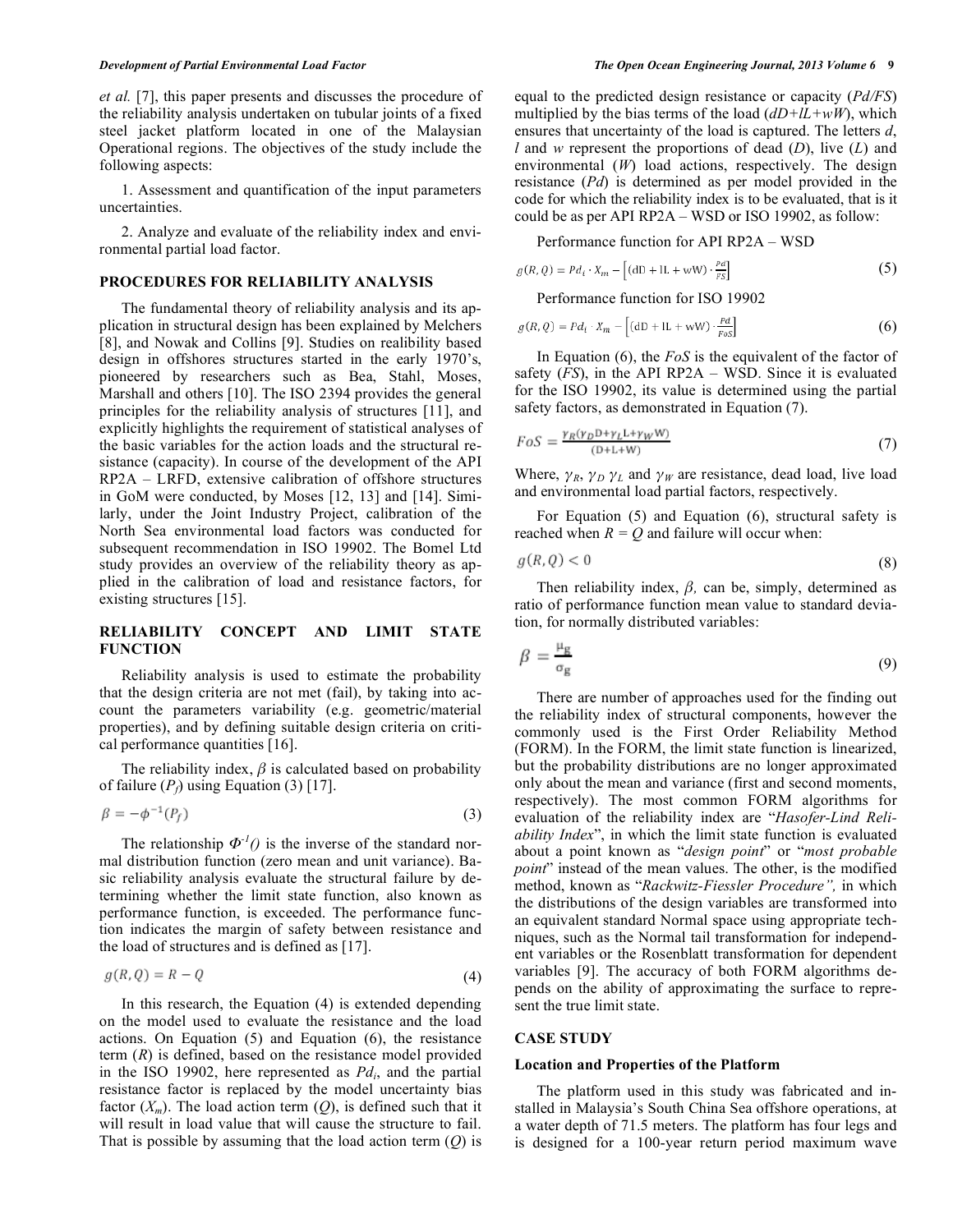*et al.* [7], this paper presents and discusses the procedure of the reliability analysis undertaken on tubular joints of a fixed steel jacket platform located in one of the Malaysian Operational regions. The objectives of the study include the following aspects:

1. Assessment and quantification of the input parameters uncertainties.

2. Analyze and evaluate of the reliability index and environmental partial load factor.

# **PROCEDURES FOR RELIABILITY ANALYSIS**

The fundamental theory of reliability analysis and its application in structural design has been explained by Melchers [8], and Nowak and Collins [9]. Studies on realibility based design in offshores structures started in the early 1970's, pioneered by researchers such as Bea, Stahl, Moses, Marshall and others [10]. The ISO 2394 provides the general principles for the reliability analysis of structures [11], and explicitly highlights the requirement of statistical analyses of the basic variables for the action loads and the structural resistance (capacity). In course of the development of the API RP2A – LRFD, extensive calibration of offshore structures in GoM were conducted, by Moses [12, 13] and [14]. Similarly, under the Joint Industry Project, calibration of the North Sea environmental load factors was conducted for subsequent recommendation in ISO 19902. The Bomel Ltd study provides an overview of the reliability theory as applied in the calibration of load and resistance factors, for existing structures [15].

# **RELIABILITY CONCEPT AND LIMIT STATE FUNCTION**

Reliability analysis is used to estimate the probability that the design criteria are not met (fail), by taking into account the parameters variability (e.g. geometric/material properties), and by defining suitable design criteria on critical performance quantities [16].

The reliability index,  $\beta$  is calculated based on probability of failure  $(P_f)$  using Equation (3) [17].

$$
\beta = -\phi^{-1}(P_f) \tag{3}
$$

The relationship  $\Phi^{-1}(t)$  is the inverse of the standard normal distribution function (zero mean and unit variance). Basic reliability analysis evaluate the structural failure by determining whether the limit state function, also known as performance function, is exceeded. The performance function indicates the margin of safety between resistance and the load of structures and is defined as [17].

$$
g(R,Q) = R - Q \tag{4}
$$

In this research, the Equation (4) is extended depending on the model used to evaluate the resistance and the load actions. On Equation (5) and Equation (6), the resistance term (*R*) is defined, based on the resistance model provided in the ISO 19902, here represented as  $Pd_i$ , and the partial resistance factor is replaced by the model uncertainty bias factor  $(X_m)$ . The load action term  $(Q)$ , is defined such that it will result in load value that will cause the structure to fail. That is possible by assuming that the load action term (*Q*) is equal to the predicted design resistance or capacity (*Pd/FS*) multiplied by the bias terms of the load  $(dD+IL+wW)$ , which ensures that uncertainty of the load is captured. The letters *d*, *l* and *w* represent the proportions of dead (*D*), live (*L*) and environmental (*W*) load actions, respectively. The design resistance (*Pd*) is determined as per model provided in the code for which the reliability index is to be evaluated, that is it could be as per API RP2A – WSD or ISO 19902, as follow:

Performance function for API RP2A – WSD

$$
g(R,Q) = P d_i \cdot X_m - \left[ (\text{d}D + \text{l}L + \text{w}W) \cdot \frac{P d}{FS} \right] \tag{5}
$$

Performance function for ISO 19902

$$
g(R,Q) = P d_i \cdot X_m - \left[ (\mathbf{d} \mathbf{D} + \mathbf{I} \mathbf{L} + \mathbf{w} \mathbf{W}) \cdot \frac{P d}{F \circ s} \right] \tag{6}
$$

In Equation (6), the *FoS* is the equivalent of the factor of safety (*FS*), in the API RP2A – WSD. Since it is evaluated for the ISO 19902, its value is determined using the partial safety factors, as demonstrated in Equation (7).

$$
FoS = \frac{\gamma_R(\gamma_D \mathbf{D} + \gamma_L \mathbf{L} + \gamma_W \mathbf{W})}{(\mathbf{D} + \mathbf{L} + \mathbf{W})} \tag{7}
$$

Where,  $\gamma_R$ ,  $\gamma_D$   $\gamma_L$  and  $\gamma_W$  are resistance, dead load, live load and environmental load partial factors, respectively.

For Equation (5) and Equation (6), structural safety is reached when  $R = Q$  and failure will occur when:

$$
g(R,Q) < 0 \tag{8}
$$

Then reliability index, *β,* can be, simply, determined as ratio of performance function mean value to standard deviation, for normally distributed variables:

$$
\beta = \frac{\mu_{\rm g}}{\sigma_{\rm g}}\tag{9}
$$

There are number of approaches used for the finding out the reliability index of structural components, however the commonly used is the First Order Reliability Method (FORM). In the FORM, the limit state function is linearized, but the probability distributions are no longer approximated only about the mean and variance (first and second moments, respectively). The most common FORM algorithms for evaluation of the reliability index are "*Hasofer-Lind Reliability Index*", in which the limit state function is evaluated about a point known as "*design point*" or "*most probable point*" instead of the mean values. The other, is the modified method, known as "*Rackwitz-Fiessler Procedure",* in which the distributions of the design variables are transformed into an equivalent standard Normal space using appropriate techniques, such as the Normal tail transformation for independent variables or the Rosenblatt transformation for dependent variables [9]. The accuracy of both FORM algorithms depends on the ability of approximating the surface to represent the true limit state.

#### **CASE STUDY**

#### **Location and Properties of the Platform**

The platform used in this study was fabricated and installed in Malaysia's South China Sea offshore operations, at a water depth of 71.5 meters. The platform has four legs and is designed for a 100-year return period maximum wave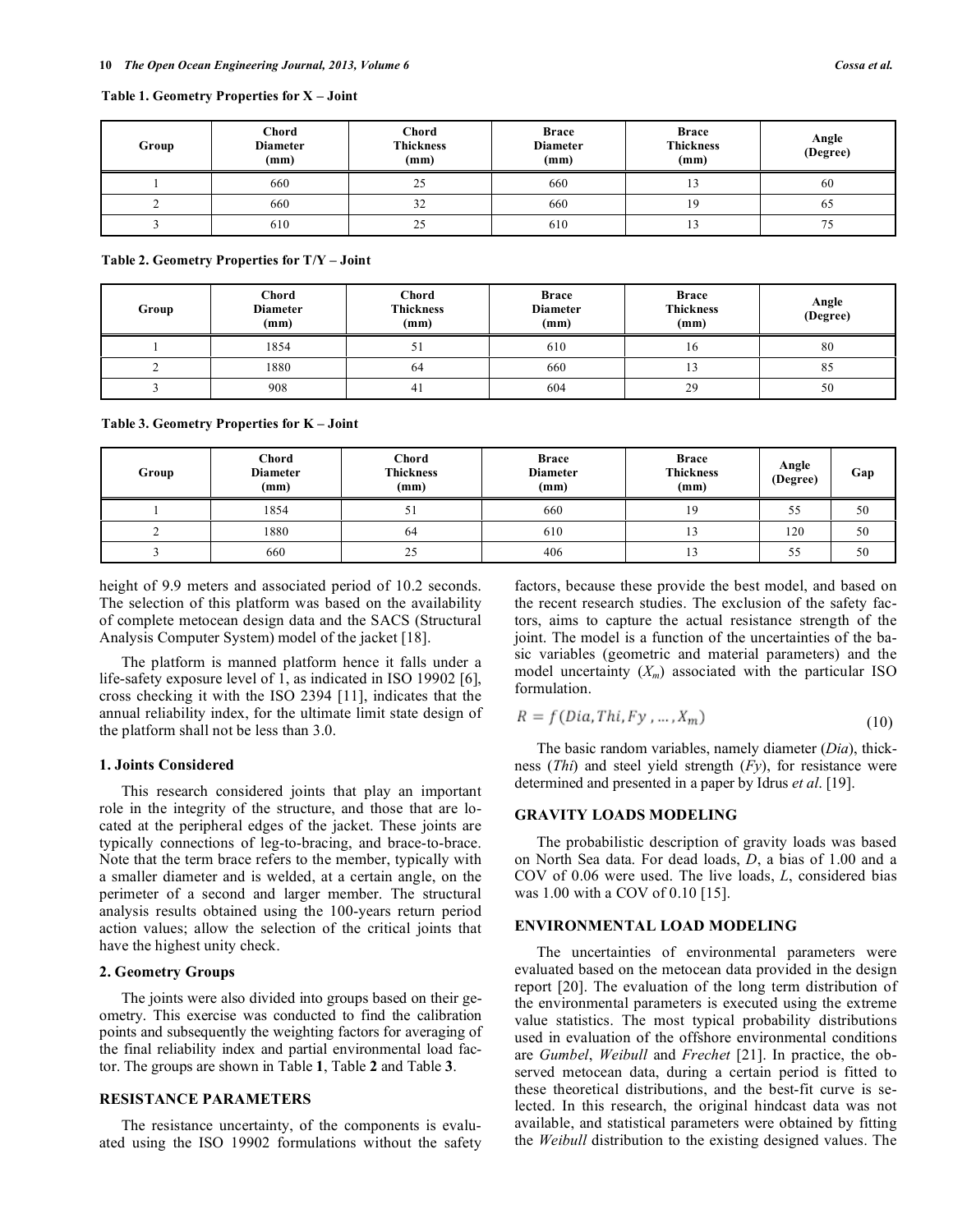| Group | Chord<br><b>Diameter</b><br>(mm) | Chord<br><b>Thickness</b><br>(mm) | <b>Brace</b><br><b>Diameter</b><br>(mm) | <b>Brace</b><br><b>Thickness</b><br>(mm) | Angle<br>(Degree) |  |
|-------|----------------------------------|-----------------------------------|-----------------------------------------|------------------------------------------|-------------------|--|
|       | 660                              | 25                                | 660                                     |                                          | 60                |  |
|       | 660                              | 32                                | 660                                     | 19                                       | 65                |  |
|       | 610                              | 25                                | 610                                     |                                          | 75                |  |

**Table 2. Geometry Properties for T/Y – Joint**

| Group | Chord<br><b>Diameter</b><br>(mm) | Chord<br><b>Thickness</b><br>(mm) | <b>Brace</b><br><b>Diameter</b><br>(mm) | <b>Brace</b><br><b>Thickness</b><br>(mm) | Angle<br>(Degree) |
|-------|----------------------------------|-----------------------------------|-----------------------------------------|------------------------------------------|-------------------|
|       | 1854                             | ◡                                 | 610                                     | 10.                                      | 80                |
|       | 1880                             | 64                                | 660                                     |                                          | 85                |
|       | 908                              | 4 <sub>1</sub>                    | 604                                     | 29                                       | 50                |

**Table 3. Geometry Properties for K – Joint**

| Group | Chord<br><b>Diameter</b><br>(mm) | Chord<br><b>Thickness</b><br>(mm) | <b>Brace</b><br><b>Diameter</b><br>(mm) | <b>Brace</b><br><b>Thickness</b><br>(mm) | Angle<br>(Degree) | Gap |
|-------|----------------------------------|-----------------------------------|-----------------------------------------|------------------------------------------|-------------------|-----|
|       | 1854                             | JІ                                | 660                                     | 19                                       | 55                | 50  |
|       | 1880                             | 64                                | 610                                     |                                          | 120               | 50  |
|       | 660                              | 25                                | 406                                     |                                          | 55                | 50  |

height of 9.9 meters and associated period of 10.2 seconds. The selection of this platform was based on the availability of complete metocean design data and the SACS (Structural Analysis Computer System) model of the jacket [18].

The platform is manned platform hence it falls under a life-safety exposure level of 1, as indicated in ISO 19902 [6], cross checking it with the ISO 2394 [11], indicates that the annual reliability index, for the ultimate limit state design of the platform shall not be less than 3.0.

# **1. Joints Considered**

This research considered joints that play an important role in the integrity of the structure, and those that are located at the peripheral edges of the jacket. These joints are typically connections of leg-to-bracing, and brace-to-brace. Note that the term brace refers to the member, typically with a smaller diameter and is welded, at a certain angle, on the perimeter of a second and larger member. The structural analysis results obtained using the 100-years return period action values; allow the selection of the critical joints that have the highest unity check.

# **2. Geometry Groups**

The joints were also divided into groups based on their geometry. This exercise was conducted to find the calibration points and subsequently the weighting factors for averaging of the final reliability index and partial environmental load factor. The groups are shown in Table **1**, Table **2** and Table **3**.

# **RESISTANCE PARAMETERS**

The resistance uncertainty, of the components is evaluated using the ISO 19902 formulations without the safety factors, because these provide the best model, and based on the recent research studies. The exclusion of the safety factors, aims to capture the actual resistance strength of the joint. The model is a function of the uncertainties of the basic variables (geometric and material parameters) and the model uncertainty  $(X_m)$  associated with the particular ISO formulation.

$$
R = f(Dia, Thi, Fy, ..., X_m)
$$
\n(10)

The basic random variables, namely diameter (*Dia*), thickness (*Thi*) and steel yield strength (*Fy*), for resistance were determined and presented in a paper by Idrus *et al*. [19].

# **GRAVITY LOADS MODELING**

The probabilistic description of gravity loads was based on North Sea data. For dead loads, *D*, a bias of 1.00 and a COV of 0.06 were used. The live loads, *L*, considered bias was 1.00 with a COV of 0.10 [15].

# **ENVIRONMENTAL LOAD MODELING**

The uncertainties of environmental parameters were evaluated based on the metocean data provided in the design report [20]. The evaluation of the long term distribution of the environmental parameters is executed using the extreme value statistics. The most typical probability distributions used in evaluation of the offshore environmental conditions are *Gumbel*, *Weibull* and *Frechet* [21]. In practice, the observed metocean data, during a certain period is fitted to these theoretical distributions, and the best-fit curve is selected. In this research, the original hindcast data was not available, and statistical parameters were obtained by fitting the *Weibull* distribution to the existing designed values. The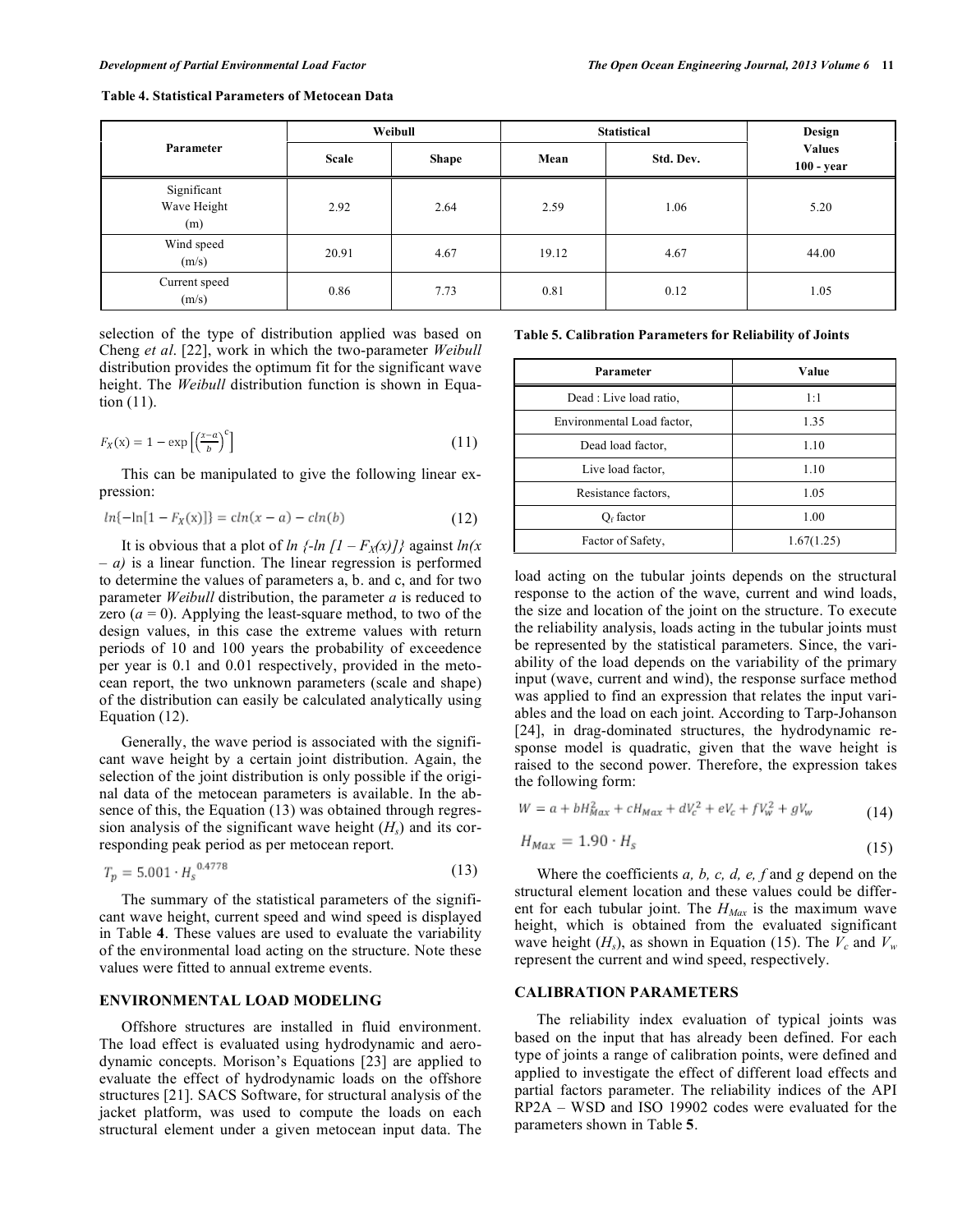|                                   |                              | Weibull | <b>Statistical</b> | Design<br><b>Values</b><br>$100 - year$ |       |
|-----------------------------------|------------------------------|---------|--------------------|-----------------------------------------|-------|
| Parameter                         | <b>Scale</b><br><b>Shape</b> |         | Mean               |                                         |       |
| Significant<br>Wave Height<br>(m) | 2.92                         | 2.64    | 2.59               | 1.06                                    | 5.20  |
| Wind speed<br>(m/s)               | 20.91                        | 4.67    | 19.12              | 4.67                                    | 44.00 |
| Current speed<br>(m/s)            | 0.86                         | 7.73    | 0.81               | 0.12                                    | 1.05  |

**Table 4. Statistical Parameters of Metocean Data**

selection of the type of distribution applied was based on Cheng *et al*. [22], work in which the two-parameter *Weibull* distribution provides the optimum fit for the significant wave height. The *Weibull* distribution function is shown in Equation (11).

$$
F_X(x) = 1 - \exp\left[\left(\frac{x-a}{b}\right)^c\right] \tag{11}
$$

This can be manipulated to give the following linear expression:

$$
ln{-ln[1 - F_X(x)]} = ch(x - a) - ch(b)
$$
\n(12)

It is obvious that a plot of *ln*  $\{-ln [1 - F_X(x)]\}$  against  $ln(x)$ *– a)* is a linear function. The linear regression is performed to determine the values of parameters a, b. and c, and for two parameter *Weibull* distribution, the parameter *a* is reduced to zero  $(a = 0)$ . Applying the least-square method, to two of the design values, in this case the extreme values with return periods of 10 and 100 years the probability of exceedence per year is 0.1 and 0.01 respectively, provided in the metocean report, the two unknown parameters (scale and shape) of the distribution can easily be calculated analytically using Equation (12).

Generally, the wave period is associated with the significant wave height by a certain joint distribution. Again, the selection of the joint distribution is only possible if the original data of the metocean parameters is available. In the absence of this, the Equation (13) was obtained through regression analysis of the significant wave height  $(H<sub>s</sub>)$  and its corresponding peak period as per metocean report.

$$
T_p = 5.001 \cdot H_s^{0.4778} \tag{13}
$$

The summary of the statistical parameters of the significant wave height, current speed and wind speed is displayed in Table **4**. These values are used to evaluate the variability of the environmental load acting on the structure. Note these values were fitted to annual extreme events.

# **ENVIRONMENTAL LOAD MODELING**

Offshore structures are installed in fluid environment. The load effect is evaluated using hydrodynamic and aerodynamic concepts. Morison's Equations [23] are applied to evaluate the effect of hydrodynamic loads on the offshore structures [21]. SACS Software, for structural analysis of the jacket platform, was used to compute the loads on each structural element under a given metocean input data. The

**Table 5. Calibration Parameters for Reliability of Joints**

| Parameter                  | Value      |
|----------------------------|------------|
| Dead : Live load ratio.    | 1:1        |
| Environmental Load factor, | 1.35       |
| Dead load factor,          | 1.10       |
| Live load factor,          | 1.10       |
| Resistance factors,        | 1.05       |
| $Of$ factor                | 1.00       |
| Factor of Safety,          | 1.67(1.25) |

load acting on the tubular joints depends on the structural response to the action of the wave, current and wind loads, the size and location of the joint on the structure. To execute the reliability analysis, loads acting in the tubular joints must be represented by the statistical parameters. Since, the variability of the load depends on the variability of the primary input (wave, current and wind), the response surface method was applied to find an expression that relates the input variables and the load on each joint. According to Tarp-Johanson [24], in drag-dominated structures, the hydrodynamic response model is quadratic, given that the wave height is raised to the second power. Therefore, the expression takes the following form:

$$
W = a + bH_{\text{Max}}^2 + cH_{\text{Max}} + dV_c^2 + eV_c + fV_w^2 + gV_w \tag{14}
$$

$$
H_{\text{max}} = 1.90 \cdot H_s \tag{15}
$$

Where the coefficients *a, b, c, d, e, f* and *g* depend on the structural element location and these values could be different for each tubular joint. The  $H_{\text{Max}}$  is the maximum wave height, which is obtained from the evaluated significant wave height  $(H_s)$ , as shown in Equation (15). The  $V_c$  and  $V_w$ represent the current and wind speed, respectively.

# **CALIBRATION PARAMETERS**

The reliability index evaluation of typical joints was based on the input that has already been defined. For each type of joints a range of calibration points, were defined and applied to investigate the effect of different load effects and partial factors parameter. The reliability indices of the API RP2A – WSD and ISO 19902 codes were evaluated for the parameters shown in Table **5**.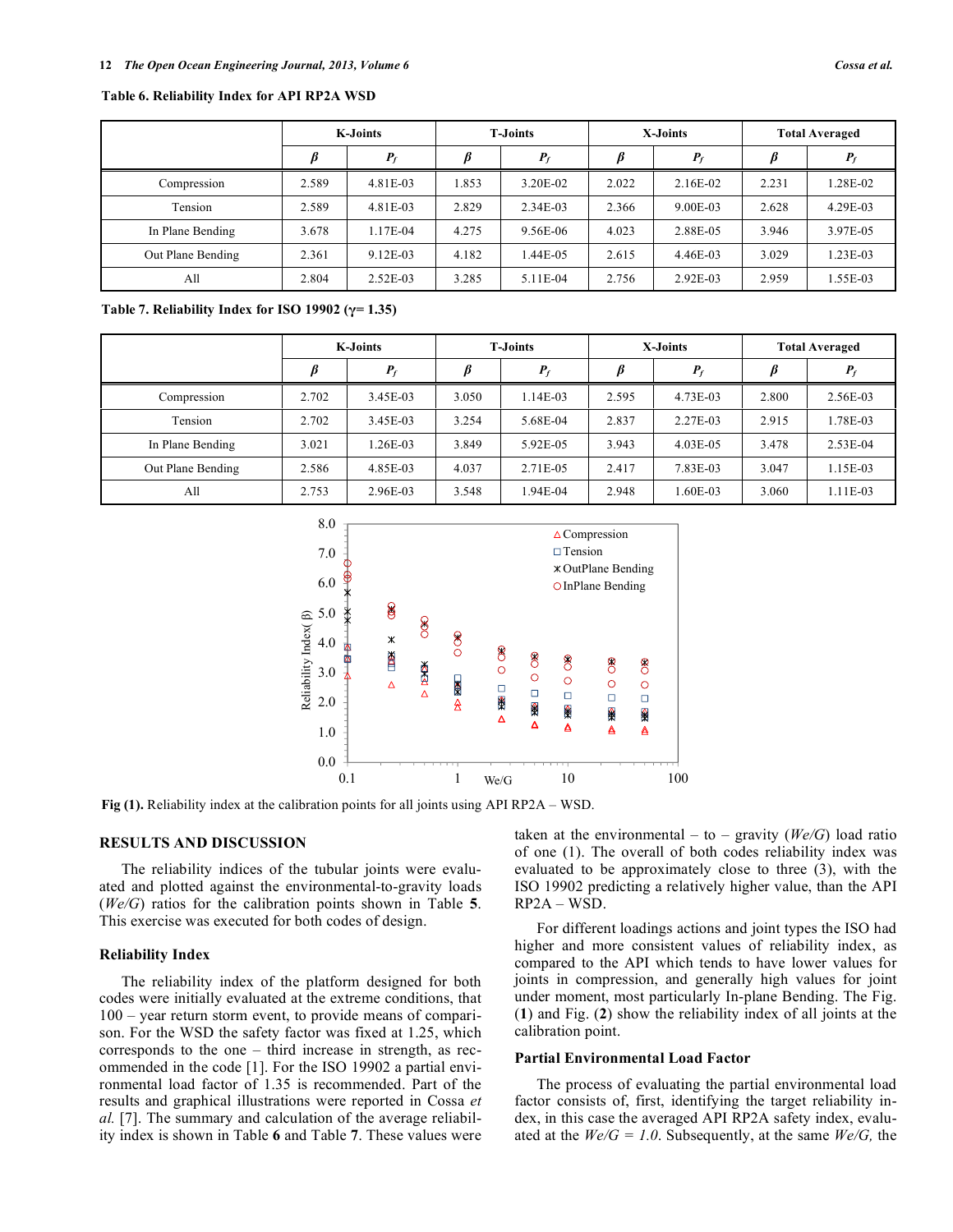|                   | <b>K-Joints</b> |            | <b>T-Joints</b> |          | X-Joints |          | <b>Total Averaged</b> |          |
|-------------------|-----------------|------------|-----------------|----------|----------|----------|-----------------------|----------|
|                   |                 | $P_f$      |                 | $P_f$    |          | $P_f$    |                       | $P_{i}$  |
| Compression       | 2.589           | 4.81E-03   | 1.853           | 3.20E-02 | 2.022    | 2.16E-02 | 2.231                 | 1.28E-02 |
| Tension           | 2.589           | 4.81E-03   | 2.829           | 2.34E-03 | 2.366    | 9.00E-03 | 2.628                 | 4.29E-03 |
| In Plane Bending  | 3.678           | 1.17E-04   | 4.275           | 9.56E-06 | 4.023    | 2.88E-05 | 3.946                 | 3.97E-05 |
| Out Plane Bending | 2.361           | 9.12E-03   | 4.182           | 1.44E-05 | 2.615    | 4.46E-03 | 3.029                 | 1.23E-03 |
| All               | 2.804           | $2.52E-03$ | 3.285           | 5.11E-04 | 2.756    | 2.92E-03 | 2.959                 | 1.55E-03 |

#### **Table 6. Reliability Index for API RP2A WSD**

**Table 7. Reliability Index for ISO 19902 (γ= 1.35)**

|                   | <b>K-Joints</b> |          | <b>T-Joints</b> |          | X-Joints |          | <b>Total Averaged</b> |            |
|-------------------|-----------------|----------|-----------------|----------|----------|----------|-----------------------|------------|
|                   |                 | $P_f$    |                 | $P_f$    |          | $P_f$    | β                     | $P_f$      |
| Compression       | 2.702           | 3.45E-03 | 3.050           | 1.14E-03 | 2.595    | 4.73E-03 | 2.800                 | 2.56E-03   |
| Tension           | 2.702           | 3.45E-03 | 3.254           | 5.68E-04 | 2.837    | 2.27E-03 | 2.915                 | 1.78E-03   |
| In Plane Bending  | 3.021           | 1.26E-03 | 3.849           | 5.92E-05 | 3.943    | 4.03E-05 | 3.478                 | $2.53E-04$ |
| Out Plane Bending | 2.586           | 4.85E-03 | 4.037           | 2.71E-05 | 2.417    | 7.83E-03 | 3.047                 | 1.15E-03   |
| All               | 2.753           | 2.96E-03 | 3.548           | 1.94E-04 | 2.948    | 1.60E-03 | 3.060                 | 1.11E-03   |



**Fig (1).** Reliability index at the calibration points for all joints using API RP2A – WSD.

# **RESULTS AND DISCUSSION**

The reliability indices of the tubular joints were evaluated and plotted against the environmental-to-gravity loads (*We/G*) ratios for the calibration points shown in Table **5**. This exercise was executed for both codes of design.

#### **Reliability Index**

The reliability index of the platform designed for both codes were initially evaluated at the extreme conditions, that 100 – year return storm event, to provide means of comparison. For the WSD the safety factor was fixed at 1.25, which corresponds to the one – third increase in strength, as recommended in the code [1]. For the ISO 19902 a partial environmental load factor of 1.35 is recommended. Part of the results and graphical illustrations were reported in Cossa *et al.* [7]. The summary and calculation of the average reliability index is shown in Table **6** and Table **7**. These values were taken at the environmental – to – gravity  $(We/G)$  load ratio of one (1). The overall of both codes reliability index was evaluated to be approximately close to three (3), with the ISO 19902 predicting a relatively higher value, than the API RP2A – WSD.

For different loadings actions and joint types the ISO had higher and more consistent values of reliability index, as compared to the API which tends to have lower values for joints in compression, and generally high values for joint under moment, most particularly In-plane Bending. The Fig. (**1**) and Fig. (**2**) show the reliability index of all joints at the calibration point.

### **Partial Environmental Load Factor**

The process of evaluating the partial environmental load factor consists of, first, identifying the target reliability index, in this case the averaged API RP2A safety index, evaluated at the  $W \cdot G = 1.0$ . Subsequently, at the same  $W \cdot G$ , the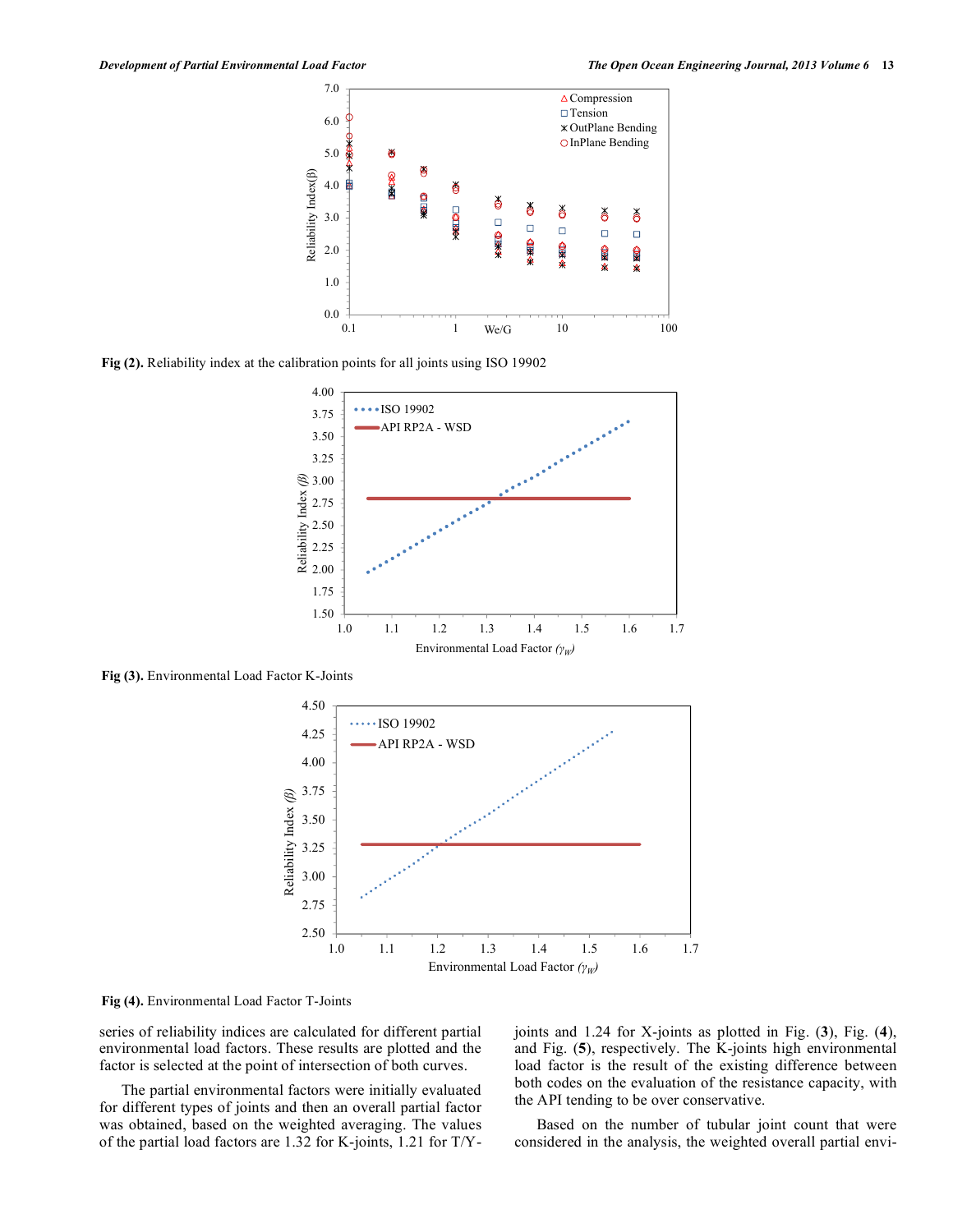

**Fig (2).** Reliability index at the calibration points for all joints using ISO 19902



**Fig (3).** Environmental Load Factor K-Joints



**Fig (4).** Environmental Load Factor T-Joints

series of reliability indices are calculated for different partial environmental load factors. These results are plotted and the factor is selected at the point of intersection of both curves.

The partial environmental factors were initially evaluated for different types of joints and then an overall partial factor was obtained, based on the weighted averaging. The values of the partial load factors are 1.32 for K-joints, 1.21 for T/Y- joints and 1.24 for X-joints as plotted in Fig. (**3**), Fig. (**4**), and Fig. (**5**), respectively. The K-joints high environmental load factor is the result of the existing difference between both codes on the evaluation of the resistance capacity, with the API tending to be over conservative.

Based on the number of tubular joint count that were considered in the analysis, the weighted overall partial envi-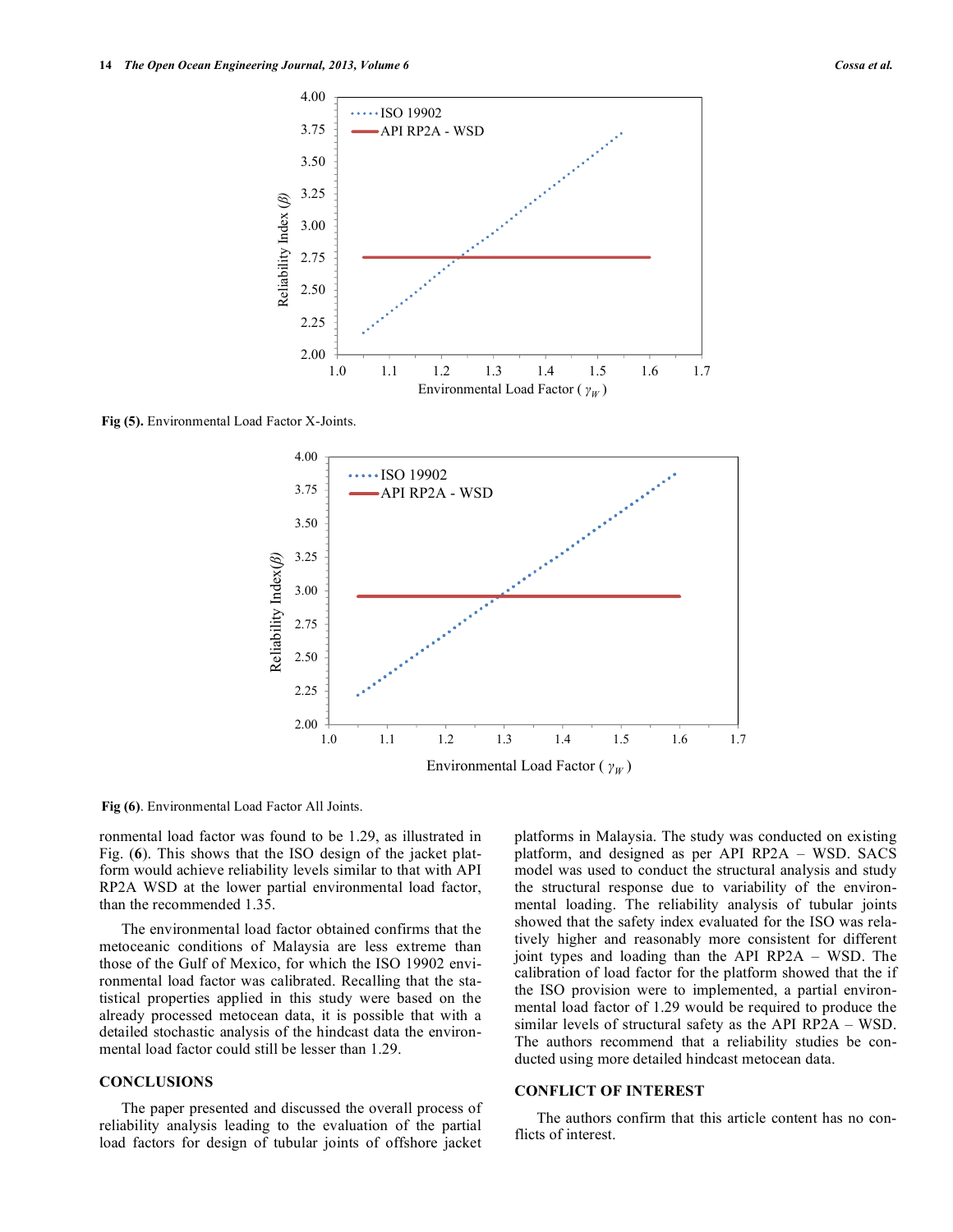

**Fig (5).** Environmental Load Factor X-Joints.



**Fig (6)**. Environmental Load Factor All Joints.

ronmental load factor was found to be 1.29, as illustrated in Fig. (**6**). This shows that the ISO design of the jacket platform would achieve reliability levels similar to that with API RP2A WSD at the lower partial environmental load factor, than the recommended 1.35.

The environmental load factor obtained confirms that the metoceanic conditions of Malaysia are less extreme than those of the Gulf of Mexico, for which the ISO 19902 environmental load factor was calibrated. Recalling that the statistical properties applied in this study were based on the already processed metocean data, it is possible that with a detailed stochastic analysis of the hindcast data the environmental load factor could still be lesser than 1.29.

### **CONCLUSIONS**

The paper presented and discussed the overall process of reliability analysis leading to the evaluation of the partial load factors for design of tubular joints of offshore jacket platforms in Malaysia. The study was conducted on existing platform, and designed as per API RP2A – WSD. SACS model was used to conduct the structural analysis and study the structural response due to variability of the environmental loading. The reliability analysis of tubular joints showed that the safety index evaluated for the ISO was relatively higher and reasonably more consistent for different joint types and loading than the API RP2A – WSD. The calibration of load factor for the platform showed that the if the ISO provision were to implemented, a partial environmental load factor of 1.29 would be required to produce the similar levels of structural safety as the API RP2A – WSD. The authors recommend that a reliability studies be conducted using more detailed hindcast metocean data.

#### **CONFLICT OF INTEREST**

The authors confirm that this article content has no conflicts of interest.